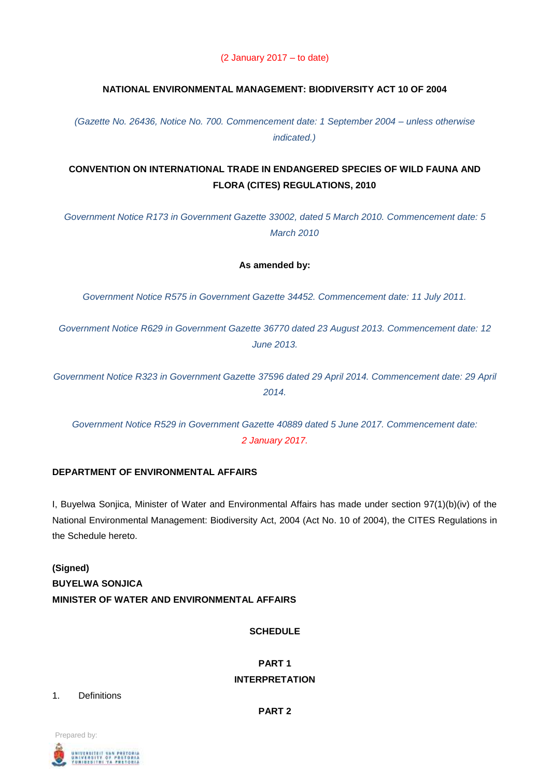(2 January 2017 – to date)

# **NATIONAL ENVIRONMENTAL MANAGEMENT: BIODIVERSITY ACT 10 OF 2004**

*(Gazette No. 26436, Notice No. 700. Commencement date: 1 September 2004 – unless otherwise indicated.)*

# **CONVENTION ON INTERNATIONAL TRADE IN ENDANGERED SPECIES OF WILD FAUNA AND FLORA (CITES) REGULATIONS, 2010**

*Government Notice R173 in Government Gazette 33002, dated 5 March 2010. Commencement date: 5 March 2010*

### **As amended by:**

*Government Notice R575 in Government Gazette 34452. Commencement date: 11 July 2011.*

*Government Notice R629 in Government Gazette 36770 dated 23 August 2013. Commencement date: 12 June 2013.*

*Government Notice R323 in Government Gazette 37596 dated 29 April 2014. Commencement date: 29 April 2014.*

*Government Notice R529 in Government Gazette 40889 dated 5 June 2017. Commencement date: 2 January 2017.*

### **DEPARTMENT OF ENVIRONMENTAL AFFAIRS**

I, Buyelwa Sonjica, Minister of Water and Environmental Affairs has made under section 97(1)(b)(iv) of the National Environmental Management: Biodiversity Act, 2004 (Act No. 10 of 2004), the CITES Regulations in the Schedule hereto.

# **(Signed) BUYELWA SONJICA MINISTER OF WATER AND ENVIRONMENTAL AFFAIRS**

**SCHEDULE**

# **PART 1 INTERPRETATION**

1. Definitions

**PART 2**

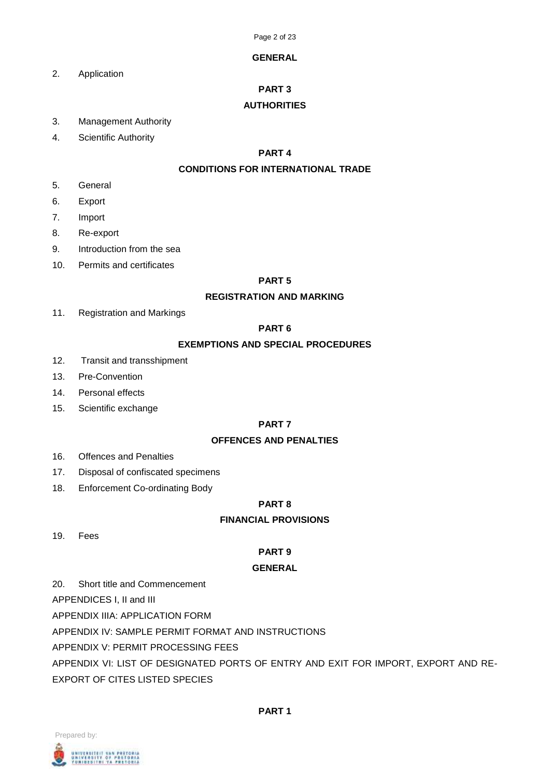### **GENERAL**

2. Application

# **PART 3**

## **AUTHORITIES**

- 3. Management Authority
- 4. Scientific Authority

### **PART 4**

## **CONDITIONS FOR INTERNATIONAL TRADE**

- 5. General
- 6. Export
- 7. Import
- 8. Re-export
- 9. Introduction from the sea
- 10. Permits and certificates

### **PART 5**

### **REGISTRATION AND MARKING**

11. Registration and Markings

## **PART 6**

### **EXEMPTIONS AND SPECIAL PROCEDURES**

- 12. Transit and transshipment
- 13. Pre-Convention
- 14. Personal effects
- 15. Scientific exchange

# **PART 7**

# **OFFENCES AND PENALTIES**

- 16. Offences and Penalties
- 17. Disposal of confiscated specimens
- 18. Enforcement Co-ordinating Body

# **PART 8**

# **FINANCIAL PROVISIONS**

19. Fees

# **PART 9**

### **GENERAL**

20. Short title and Commencement

APPENDICES I, II and III

APPENDIX IIIA: APPLICATION FORM

APPENDIX IV: SAMPLE PERMIT FORMAT AND INSTRUCTIONS

APPENDIX V: PERMIT PROCESSING FEES

APPENDIX VI: LIST OF DESIGNATED PORTS OF ENTRY AND EXIT FOR IMPORT, EXPORT AND RE-EXPORT OF CITES LISTED SPECIES



#### **PART 1**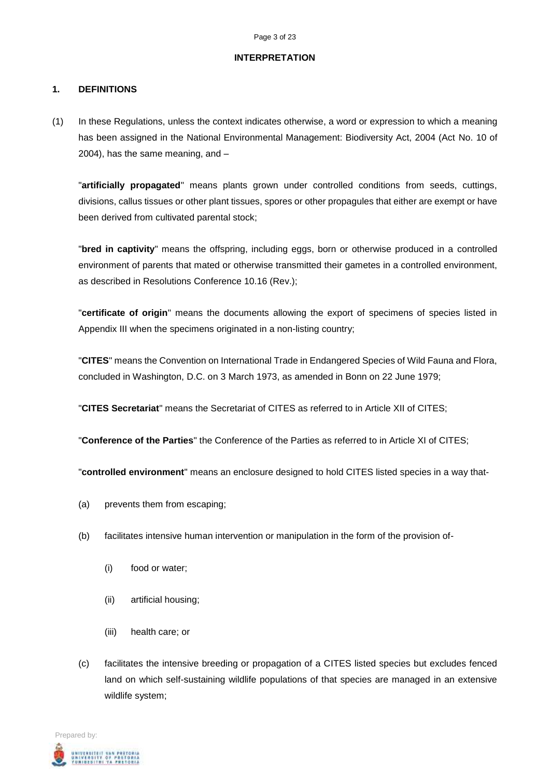#### **INTERPRETATION**

### **1. DEFINITIONS**

(1) In these Regulations, unless the context indicates otherwise, a word or expression to which a meaning has been assigned in the National Environmental Management: Biodiversity Act, 2004 (Act No. 10 of 2004), has the same meaning, and –

"**artificially propagated**" means plants grown under controlled conditions from seeds, cuttings, divisions, callus tissues or other plant tissues, spores or other propagules that either are exempt or have been derived from cultivated parental stock;

"**bred in captivity**" means the offspring, including eggs, born or otherwise produced in a controlled environment of parents that mated or otherwise transmitted their gametes in a controlled environment, as described in Resolutions Conference 10.16 (Rev.);

"**certificate of origin**" means the documents allowing the export of specimens of species listed in Appendix III when the specimens originated in a non-listing country;

"**CITES**" means the Convention on International Trade in Endangered Species of Wild Fauna and Flora, concluded in Washington, D.C. on 3 March 1973, as amended in Bonn on 22 June 1979;

"**CITES Secretariat**" means the Secretariat of CITES as referred to in Article XII of CITES;

"**Conference of the Parties**" the Conference of the Parties as referred to in Article XI of CITES;

"**controlled environment**" means an enclosure designed to hold CITES listed species in a way that-

- (a) prevents them from escaping;
- (b) facilitates intensive human intervention or manipulation in the form of the provision of-
	- (i) food or water;
	- (ii) artificial housing;
	- (iii) health care; or
- (c) facilitates the intensive breeding or propagation of a CITES listed species but excludes fenced land on which self-sustaining wildlife populations of that species are managed in an extensive wildlife system;

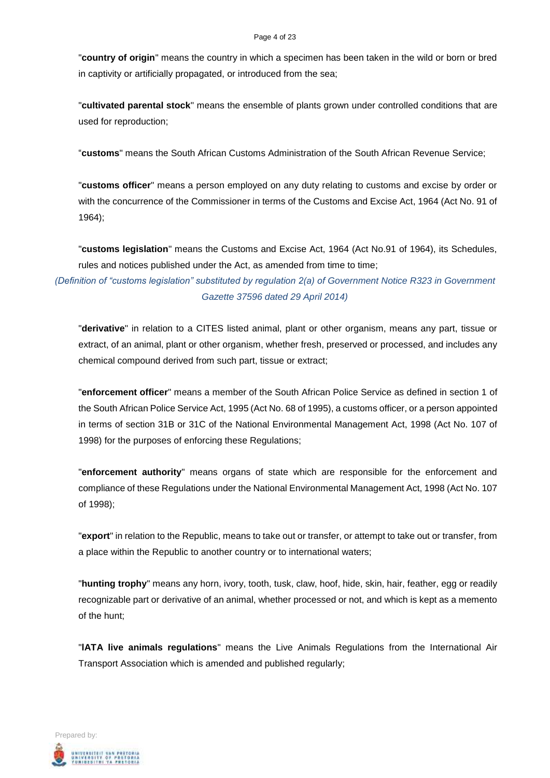#### Page 4 of 23

"**country of origin**" means the country in which a specimen has been taken in the wild or born or bred in captivity or artificially propagated, or introduced from the sea;

"**cultivated parental stock**" means the ensemble of plants grown under controlled conditions that are used for reproduction;

"**customs**" means the South African Customs Administration of the South African Revenue Service;

"**customs officer**" means a person employed on any duty relating to customs and excise by order or with the concurrence of the Commissioner in terms of the Customs and Excise Act, 1964 (Act No. 91 of 1964);

"**customs legislation**" means the Customs and Excise Act, 1964 (Act No.91 of 1964), its Schedules, rules and notices published under the Act, as amended from time to time;

*(Definition of "customs legislation" substituted by regulation 2(a) of Government Notice R323 in Government Gazette 37596 dated 29 April 2014)*

"**derivative**" in relation to a CITES listed animal, plant or other organism, means any part, tissue or extract, of an animal, plant or other organism, whether fresh, preserved or processed, and includes any chemical compound derived from such part, tissue or extract;

"**enforcement officer**" means a member of the South African Police Service as defined in section 1 of the South African Police Service Act, 1995 (Act No. 68 of 1995), a customs officer, or a person appointed in terms of section 31B or 31C of the National Environmental Management Act, 1998 (Act No. 107 of 1998) for the purposes of enforcing these Regulations;

"**enforcement authority**" means organs of state which are responsible for the enforcement and compliance of these Regulations under the National Environmental Management Act, 1998 (Act No. 107 of 1998);

"**export**" in relation to the Republic, means to take out or transfer, or attempt to take out or transfer, from a place within the Republic to another country or to international waters;

"**hunting trophy**" means any horn, ivory, tooth, tusk, claw, hoof, hide, skin, hair, feather, egg or readily recognizable part or derivative of an animal, whether processed or not, and which is kept as a memento of the hunt;

"**lATA live animals regulations**" means the Live Animals Regulations from the International Air Transport Association which is amended and published regularly;

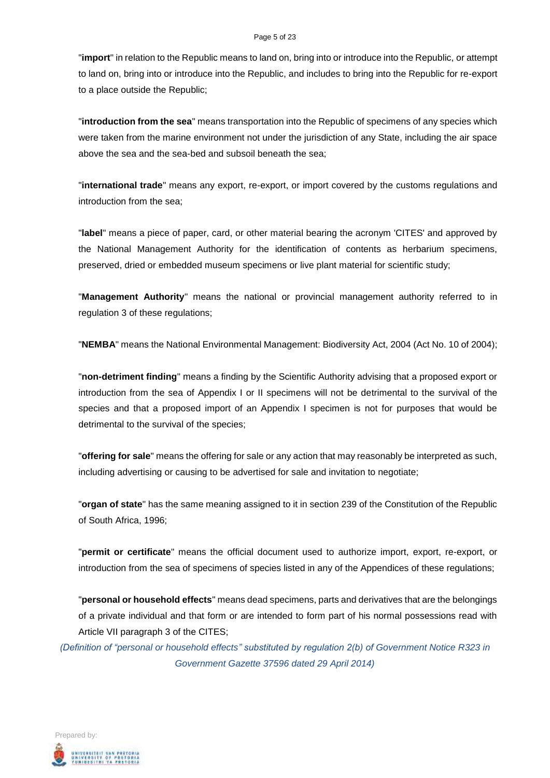#### Page 5 of 23

"**import**" in relation to the Republic means to land on, bring into or introduce into the Republic, or attempt to land on, bring into or introduce into the Republic, and includes to bring into the Republic for re-export to a place outside the Republic;

"**introduction from the sea**" means transportation into the Republic of specimens of any species which were taken from the marine environment not under the jurisdiction of any State, including the air space above the sea and the sea-bed and subsoil beneath the sea;

"**international trade**" means any export, re-export, or import covered by the customs regulations and introduction from the sea;

"**label**" means a piece of paper, card, or other material bearing the acronym 'CITES' and approved by the National Management Authority for the identification of contents as herbarium specimens, preserved, dried or embedded museum specimens or live plant material for scientific study;

"**Management Authority**" means the national or provincial management authority referred to in regulation 3 of these regulations;

"**NEMBA**" means the National Environmental Management: Biodiversity Act, 2004 (Act No. 10 of 2004);

"**non-detriment finding**" means a finding by the Scientific Authority advising that a proposed export or introduction from the sea of Appendix I or II specimens will not be detrimental to the survival of the species and that a proposed import of an Appendix I specimen is not for purposes that would be detrimental to the survival of the species;

"**offering for sale**" means the offering for sale or any action that may reasonably be interpreted as such, including advertising or causing to be advertised for sale and invitation to negotiate;

"**organ of state**" has the same meaning assigned to it in section 239 of the Constitution of the Republic of South Africa, 1996;

"**permit or certificate**" means the official document used to authorize import, export, re-export, or introduction from the sea of specimens of species listed in any of the Appendices of these regulations;

"**personal or household effects**" means dead specimens, parts and derivatives that are the belongings of a private individual and that form or are intended to form part of his normal possessions read with Article VII paragraph 3 of the CITES;

*(Definition of "personal or household effects" substituted by regulation 2(b) of Government Notice R323 in Government Gazette 37596 dated 29 April 2014)*

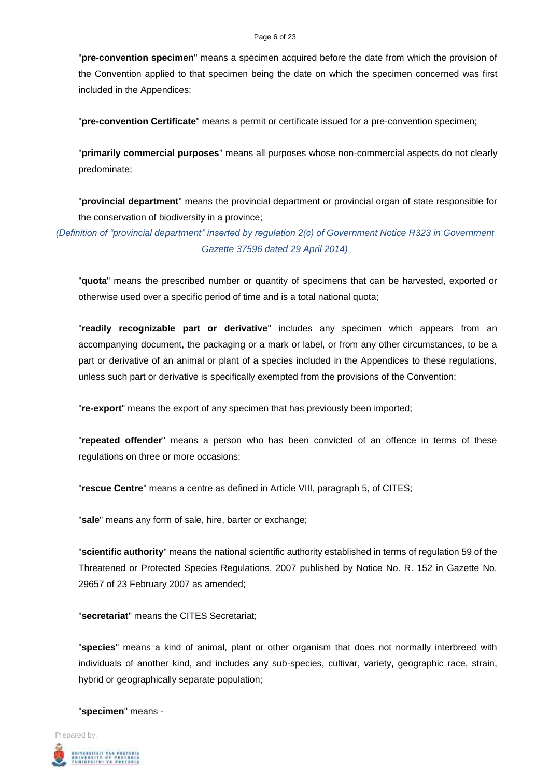#### Page 6 of 23

"**pre-convention specimen**" means a specimen acquired before the date from which the provision of the Convention applied to that specimen being the date on which the specimen concerned was first included in the Appendices;

"**pre-convention Certificate**" means a permit or certificate issued for a pre-convention specimen;

"**primarily commercial purposes**" means all purposes whose non-commercial aspects do not clearly predominate;

"**provincial department**" means the provincial department or provincial organ of state responsible for the conservation of biodiversity in a province;

*(Definition of "provincial department" inserted by regulation 2(c) of Government Notice R323 in Government Gazette 37596 dated 29 April 2014)*

"**quota**" means the prescribed number or quantity of specimens that can be harvested, exported or otherwise used over a specific period of time and is a total national quota;

"**readily recognizable part or derivative**" includes any specimen which appears from an accompanying document, the packaging or a mark or label, or from any other circumstances, to be a part or derivative of an animal or plant of a species included in the Appendices to these regulations, unless such part or derivative is specifically exempted from the provisions of the Convention;

"**re-export**" means the export of any specimen that has previously been imported;

"**repeated offender**" means a person who has been convicted of an offence in terms of these regulations on three or more occasions;

"**rescue Centre**" means a centre as defined in Article VIII, paragraph 5, of CITES;

"**sale**" means any form of sale, hire, barter or exchange;

"**scientific authority**" means the national scientific authority established in terms of regulation 59 of the Threatened or Protected Species Regulations, 2007 published by Notice No. R. 152 in Gazette No. 29657 of 23 February 2007 as amended;

"**secretariat**" means the CITES Secretariat;

"**species**" means a kind of animal, plant or other organism that does not normally interbreed with individuals of another kind, and includes any sub-species, cultivar, variety, geographic race, strain, hybrid or geographically separate population;

"**specimen**" means -

Prepared by: UNIVERSITEIT VAN PRETORIA<br>UNIVERSITY OF PRETORIA<br>YUNIBESITHI YA PRETORIA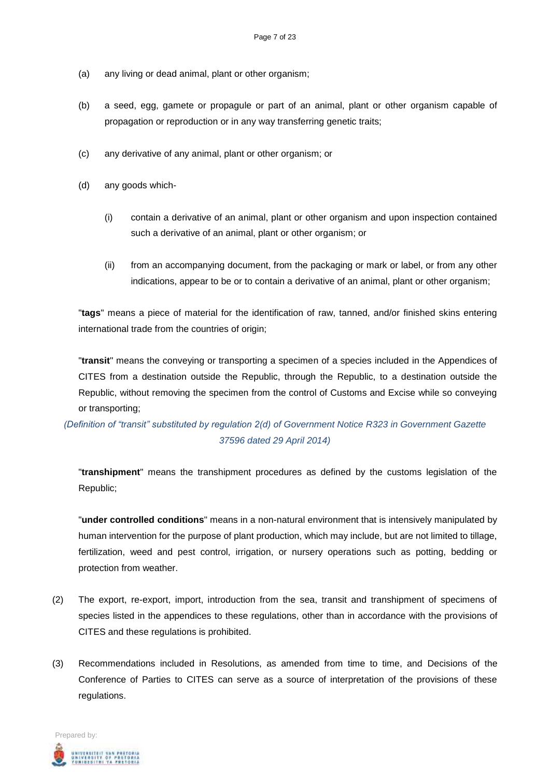- (a) any living or dead animal, plant or other organism;
- (b) a seed, egg, gamete or propagule or part of an animal, plant or other organism capable of propagation or reproduction or in any way transferring genetic traits;
- (c) any derivative of any animal, plant or other organism; or
- (d) any goods which-
	- (i) contain a derivative of an animal, plant or other organism and upon inspection contained such a derivative of an animal, plant or other organism; or
	- (ii) from an accompanying document, from the packaging or mark or label, or from any other indications, appear to be or to contain a derivative of an animal, plant or other organism;

"**tags**" means a piece of material for the identification of raw, tanned, and/or finished skins entering international trade from the countries of origin;

"**transit**" means the conveying or transporting a specimen of a species included in the Appendices of CITES from a destination outside the Republic, through the Republic, to a destination outside the Republic, without removing the specimen from the control of Customs and Excise while so conveying or transporting;

*(Definition of "transit" substituted by regulation 2(d) of Government Notice R323 in Government Gazette 37596 dated 29 April 2014)*

"**transhipment**" means the transhipment procedures as defined by the customs legislation of the Republic;

"**under controlled conditions**" means in a non-natural environment that is intensively manipulated by human intervention for the purpose of plant production, which may include, but are not limited to tillage, fertilization, weed and pest control, irrigation, or nursery operations such as potting, bedding or protection from weather.

- (2) The export, re-export, import, introduction from the sea, transit and transhipment of specimens of species listed in the appendices to these regulations, other than in accordance with the provisions of CITES and these regulations is prohibited.
- (3) Recommendations included in Resolutions, as amended from time to time, and Decisions of the Conference of Parties to CITES can serve as a source of interpretation of the provisions of these regulations.

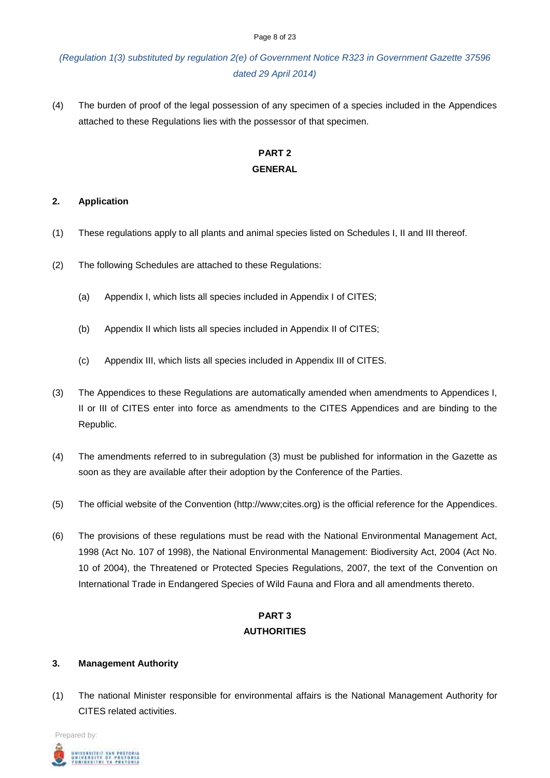#### Page 8 of 23

# *(Regulation 1(3) substituted by regulation 2(e) of Government Notice R323 in Government Gazette 37596 dated 29 April 2014)*

(4) The burden of proof of the legal possession of any specimen of a species included in the Appendices attached to these Regulations lies with the possessor of that specimen.

# **PART 2 GENERAL**

### **2. Application**

- (1) These regulations apply to all plants and animal species listed on Schedules I, II and III thereof.
- (2) The following Schedules are attached to these Regulations:
	- (a) Appendix I, which lists all species included in Appendix I of CITES;
	- (b) Appendix II which lists all species included in Appendix II of CITES;
	- (c) Appendix III, which lists all species included in Appendix III of CITES.
- (3) The Appendices to these Regulations are automatically amended when amendments to Appendices I, II or III of CITES enter into force as amendments to the CITES Appendices and are binding to the Republic.
- (4) The amendments referred to in subregulation (3) must be published for information in the Gazette as soon as they are available after their adoption by the Conference of the Parties.
- (5) The official website of the Convention (http://www;cites.org) is the official reference for the Appendices.
- (6) The provisions of these regulations must be read with the National Environmental Management Act, 1998 (Act No. 107 of 1998), the National Environmental Management: Biodiversity Act, 2004 (Act No. 10 of 2004), the Threatened or Protected Species Regulations, 2007, the text of the Convention on International Trade in Endangered Species of Wild Fauna and Flora and all amendments thereto.

# **PART 3 AUTHORITIES**

# **3. Management Authority**

(1) The national Minister responsible for environmental affairs is the National Management Authority for CITES related activities.

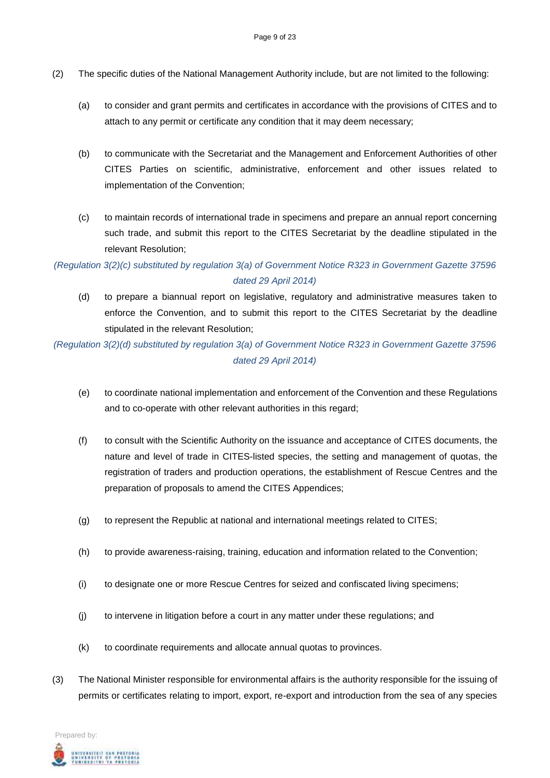- (2) The specific duties of the National Management Authority include, but are not limited to the following:
	- (a) to consider and grant permits and certificates in accordance with the provisions of CITES and to attach to any permit or certificate any condition that it may deem necessary;
	- (b) to communicate with the Secretariat and the Management and Enforcement Authorities of other CITES Parties on scientific, administrative, enforcement and other issues related to implementation of the Convention;
	- (c) to maintain records of international trade in specimens and prepare an annual report concerning such trade, and submit this report to the CITES Secretariat by the deadline stipulated in the relevant Resolution;

# *(Regulation 3(2)(c) substituted by regulation 3(a) of Government Notice R323 in Government Gazette 37596 dated 29 April 2014)*

(d) to prepare a biannual report on legislative, regulatory and administrative measures taken to enforce the Convention, and to submit this report to the CITES Secretariat by the deadline stipulated in the relevant Resolution;

*(Regulation 3(2)(d) substituted by regulation 3(a) of Government Notice R323 in Government Gazette 37596 dated 29 April 2014)*

- (e) to coordinate national implementation and enforcement of the Convention and these Regulations and to co-operate with other relevant authorities in this regard;
- (f) to consult with the Scientific Authority on the issuance and acceptance of CITES documents, the nature and level of trade in CITES-listed species, the setting and management of quotas, the registration of traders and production operations, the establishment of Rescue Centres and the preparation of proposals to amend the CITES Appendices;
- (g) to represent the Republic at national and international meetings related to CITES;
- (h) to provide awareness-raising, training, education and information related to the Convention;
- (i) to designate one or more Rescue Centres for seized and confiscated living specimens;
- (j) to intervene in litigation before a court in any matter under these regulations; and
- (k) to coordinate requirements and allocate annual quotas to provinces.
- (3) The National Minister responsible for environmental affairs is the authority responsible for the issuing of permits or certificates relating to import, export, re-export and introduction from the sea of any species

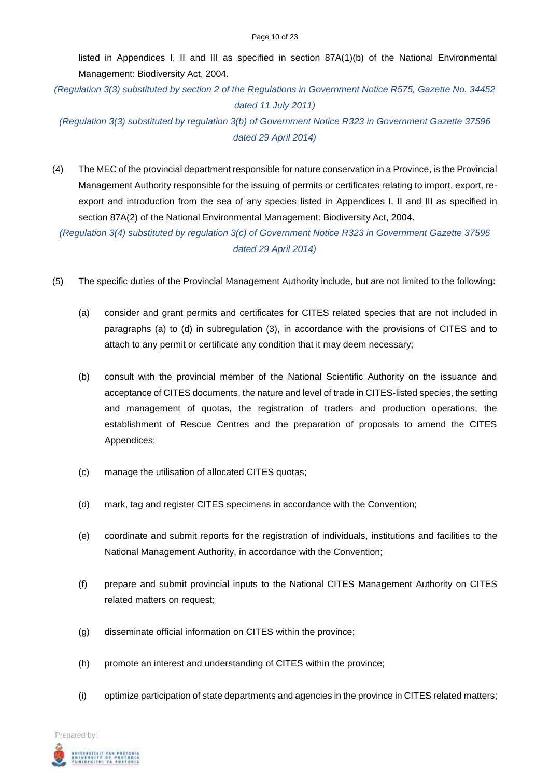listed in Appendices I, II and III as specified in section 87A(1)(b) of the National Environmental Management: Biodiversity Act, 2004.

*(Regulation 3(3) substituted by section 2 of the Regulations in Government Notice R575, Gazette No. 34452 dated 11 July 2011)*

*(Regulation 3(3) substituted by regulation 3(b) of Government Notice R323 in Government Gazette 37596 dated 29 April 2014)*

(4) The MEC of the provincial department responsible for nature conservation in a Province, is the Provincial Management Authority responsible for the issuing of permits or certificates relating to import, export, reexport and introduction from the sea of any species listed in Appendices I, II and III as specified in section 87A(2) of the National Environmental Management: Biodiversity Act, 2004.

*(Regulation 3(4) substituted by regulation 3(c) of Government Notice R323 in Government Gazette 37596 dated 29 April 2014)*

- (5) The specific duties of the Provincial Management Authority include, but are not limited to the following:
	- (a) consider and grant permits and certificates for CITES related species that are not included in paragraphs (a) to (d) in subregulation (3), in accordance with the provisions of CITES and to attach to any permit or certificate any condition that it may deem necessary;
	- (b) consult with the provincial member of the National Scientific Authority on the issuance and acceptance of CITES documents, the nature and level of trade in CITES-listed species, the setting and management of quotas, the registration of traders and production operations, the establishment of Rescue Centres and the preparation of proposals to amend the CITES Appendices;
	- (c) manage the utilisation of allocated CITES quotas;
	- (d) mark, tag and register CITES specimens in accordance with the Convention;
	- (e) coordinate and submit reports for the registration of individuals, institutions and facilities to the National Management Authority, in accordance with the Convention;
	- (f) prepare and submit provincial inputs to the National CITES Management Authority on CITES related matters on request;
	- (g) disseminate official information on CITES within the province;
	- (h) promote an interest and understanding of CITES within the province;
	- (i) optimize participation of state departments and agencies in the province in CITES related matters;

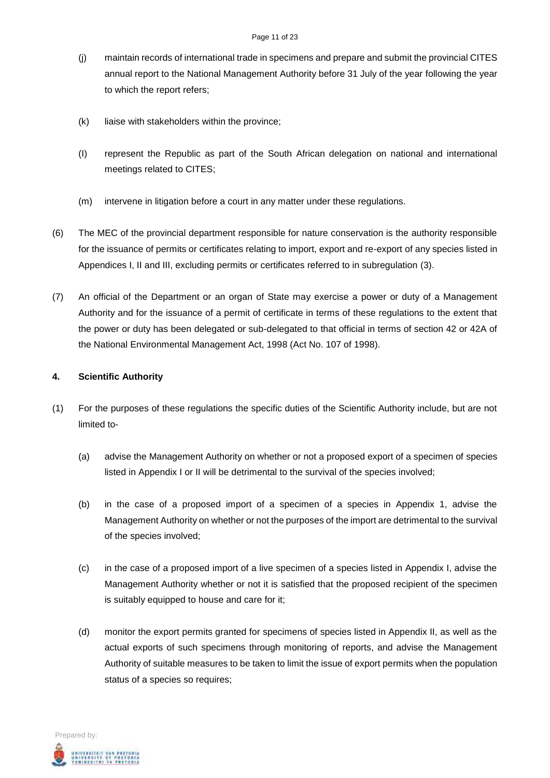- (j) maintain records of international trade in specimens and prepare and submit the provincial CITES annual report to the National Management Authority before 31 July of the year following the year to which the report refers;
- (k) liaise with stakeholders within the province;
- (I) represent the Republic as part of the South African delegation on national and international meetings related to CITES;
- (m) intervene in litigation before a court in any matter under these regulations.
- (6) The MEC of the provincial department responsible for nature conservation is the authority responsible for the issuance of permits or certificates relating to import, export and re-export of any species listed in Appendices I, II and III, excluding permits or certificates referred to in subregulation (3).
- (7) An official of the Department or an organ of State may exercise a power or duty of a Management Authority and for the issuance of a permit of certificate in terms of these regulations to the extent that the power or duty has been delegated or sub-delegated to that official in terms of section 42 or 42A of the National Environmental Management Act, 1998 (Act No. 107 of 1998).

### **4. Scientific Authority**

- (1) For the purposes of these regulations the specific duties of the Scientific Authority include, but are not limited to-
	- (a) advise the Management Authority on whether or not a proposed export of a specimen of species listed in Appendix I or II will be detrimental to the survival of the species involved;
	- (b) in the case of a proposed import of a specimen of a species in Appendix 1, advise the Management Authority on whether or not the purposes of the import are detrimental to the survival of the species involved;
	- (c) in the case of a proposed import of a live specimen of a species listed in Appendix I, advise the Management Authority whether or not it is satisfied that the proposed recipient of the specimen is suitably equipped to house and care for it;
	- (d) monitor the export permits granted for specimens of species listed in Appendix II, as well as the actual exports of such specimens through monitoring of reports, and advise the Management Authority of suitable measures to be taken to limit the issue of export permits when the population status of a species so requires;

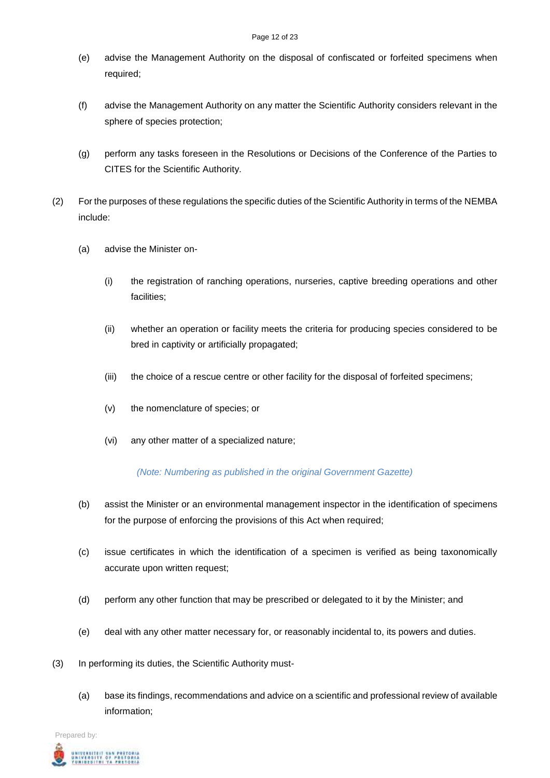- (e) advise the Management Authority on the disposal of confiscated or forfeited specimens when required;
- (f) advise the Management Authority on any matter the Scientific Authority considers relevant in the sphere of species protection;
- (g) perform any tasks foreseen in the Resolutions or Decisions of the Conference of the Parties to CITES for the Scientific Authority.
- (2) For the purposes of these regulations the specific duties of the Scientific Authority in terms of the NEMBA include:
	- (a) advise the Minister on-
		- (i) the registration of ranching operations, nurseries, captive breeding operations and other facilities;
		- (ii) whether an operation or facility meets the criteria for producing species considered to be bred in captivity or artificially propagated;
		- (iii) the choice of a rescue centre or other facility for the disposal of forfeited specimens;
		- (v) the nomenclature of species; or
		- (vi) any other matter of a specialized nature;

### *(Note: Numbering as published in the original Government Gazette)*

- (b) assist the Minister or an environmental management inspector in the identification of specimens for the purpose of enforcing the provisions of this Act when required;
- (c) issue certificates in which the identification of a specimen is verified as being taxonomically accurate upon written request;
- (d) perform any other function that may be prescribed or delegated to it by the Minister; and
- (e) deal with any other matter necessary for, or reasonably incidental to, its powers and duties.
- (3) In performing its duties, the Scientific Authority must-
	- (a) base its findings, recommendations and advice on a scientific and professional review of available information;

Prepared by: UNIVERSITEIT VAN PRETORIA<br>UNIVERSITY OF PRETORIA<br>YURIBESITHI YA PRETORIA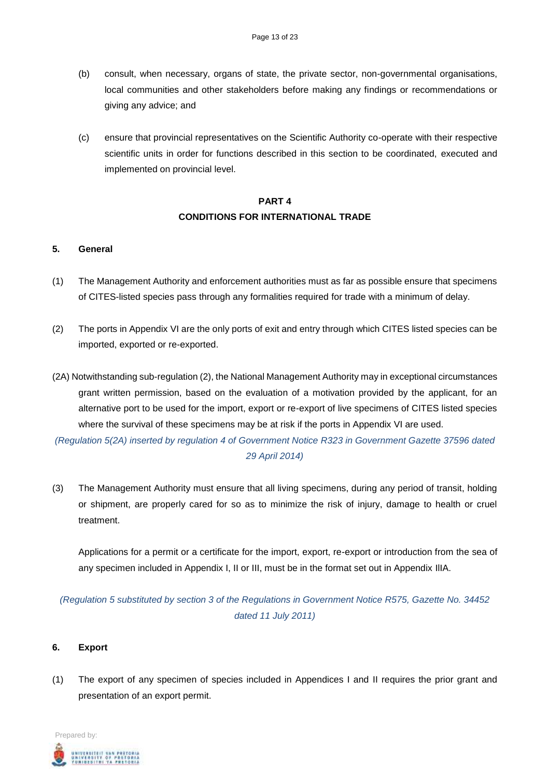- (b) consult, when necessary, organs of state, the private sector, non-governmental organisations, local communities and other stakeholders before making any findings or recommendations or giving any advice; and
- (c) ensure that provincial representatives on the Scientific Authority co-operate with their respective scientific units in order for functions described in this section to be coordinated, executed and implemented on provincial level.

# **PART 4 CONDITIONS FOR INTERNATIONAL TRADE**

### **5. General**

- (1) The Management Authority and enforcement authorities must as far as possible ensure that specimens of CITES-listed species pass through any formalities required for trade with a minimum of delay.
- (2) The ports in Appendix VI are the only ports of exit and entry through which CITES listed species can be imported, exported or re-exported.
- (2A) Notwithstanding sub-regulation (2), the National Management Authority may in exceptional circumstances grant written permission, based on the evaluation of a motivation provided by the applicant, for an alternative port to be used for the import, export or re-export of live specimens of CITES listed species where the survival of these specimens may be at risk if the ports in Appendix VI are used.

*(Regulation 5(2A) inserted by regulation 4 of Government Notice R323 in Government Gazette 37596 dated 29 April 2014)*

(3) The Management Authority must ensure that all living specimens, during any period of transit, holding or shipment, are properly cared for so as to minimize the risk of injury, damage to health or cruel treatment.

Applications for a permit or a certificate for the import, export, re-export or introduction from the sea of any specimen included in Appendix I, II or III, must be in the format set out in Appendix IlIA.

*(Regulation 5 substituted by section 3 of the Regulations in Government Notice R575, Gazette No. 34452 dated 11 July 2011)*

### **6. Export**

(1) The export of any specimen of species included in Appendices I and II requires the prior grant and presentation of an export permit.

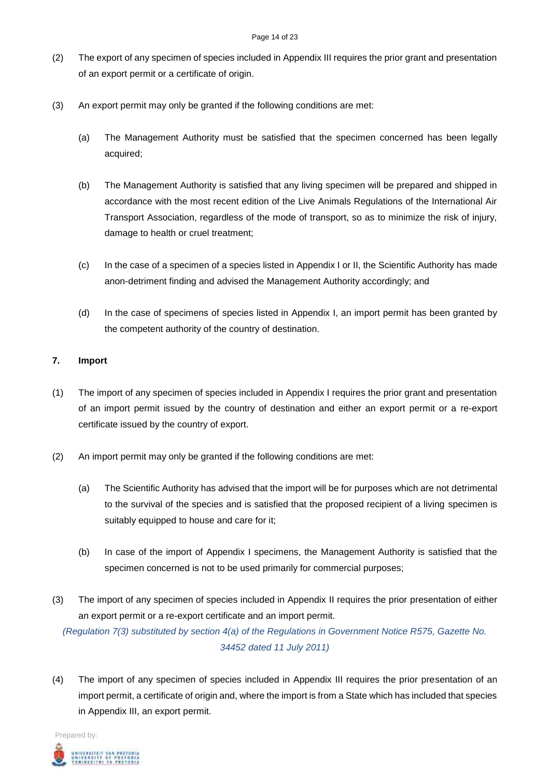- (2) The export of any specimen of species included in Appendix III requires the prior grant and presentation of an export permit or a certificate of origin.
- (3) An export permit may only be granted if the following conditions are met:
	- (a) The Management Authority must be satisfied that the specimen concerned has been legally acquired;
	- (b) The Management Authority is satisfied that any living specimen will be prepared and shipped in accordance with the most recent edition of the Live Animals Regulations of the International Air Transport Association, regardless of the mode of transport, so as to minimize the risk of injury, damage to health or cruel treatment;
	- (c) In the case of a specimen of a species listed in Appendix I or II, the Scientific Authority has made anon-detriment finding and advised the Management Authority accordingly; and
	- (d) In the case of specimens of species listed in Appendix I, an import permit has been granted by the competent authority of the country of destination.

### **7. Import**

- (1) The import of any specimen of species included in Appendix I requires the prior grant and presentation of an import permit issued by the country of destination and either an export permit or a re-export certificate issued by the country of export.
- (2) An import permit may only be granted if the following conditions are met:
	- (a) The Scientific Authority has advised that the import will be for purposes which are not detrimental to the survival of the species and is satisfied that the proposed recipient of a living specimen is suitably equipped to house and care for it;
	- (b) In case of the import of Appendix I specimens, the Management Authority is satisfied that the specimen concerned is not to be used primarily for commercial purposes;
- (3) The import of any specimen of species included in Appendix II requires the prior presentation of either an export permit or a re-export certificate and an import permit.

*(Regulation 7(3) substituted by section 4(a) of the Regulations in Government Notice R575, Gazette No. 34452 dated 11 July 2011)*

(4) The import of any specimen of species included in Appendix III requires the prior presentation of an import permit, a certificate of origin and, where the import is from a State which has included that species in Appendix III, an export permit.

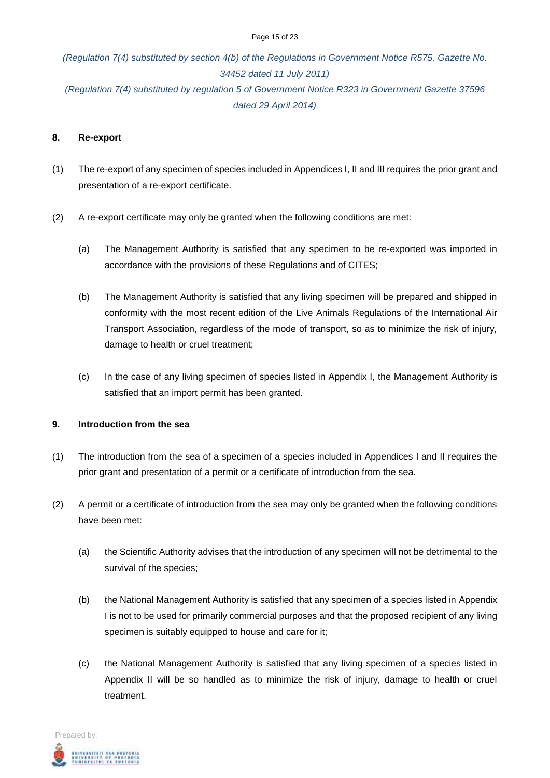#### Page 15 of 23

# *(Regulation 7(4) substituted by section 4(b) of the Regulations in Government Notice R575, Gazette No. 34452 dated 11 July 2011) (Regulation 7(4) substituted by regulation 5 of Government Notice R323 in Government Gazette 37596 dated 29 April 2014)*

#### **8. Re-export**

- (1) The re-export of any specimen of species included in Appendices I, II and III requires the prior grant and presentation of a re-export certificate.
- (2) A re-export certificate may only be granted when the following conditions are met:
	- (a) The Management Authority is satisfied that any specimen to be re-exported was imported in accordance with the provisions of these Regulations and of CITES;
	- (b) The Management Authority is satisfied that any living specimen will be prepared and shipped in conformity with the most recent edition of the Live Animals Regulations of the International Air Transport Association, regardless of the mode of transport, so as to minimize the risk of injury, damage to health or cruel treatment;
	- (c) In the case of any living specimen of species listed in Appendix I, the Management Authority is satisfied that an import permit has been granted.

### **9. Introduction from the sea**

- (1) The introduction from the sea of a specimen of a species included in Appendices I and II requires the prior grant and presentation of a permit or a certificate of introduction from the sea.
- (2) A permit or a certificate of introduction from the sea may only be granted when the following conditions have been met:
	- (a) the Scientific Authority advises that the introduction of any specimen will not be detrimental to the survival of the species;
	- (b) the National Management Authority is satisfied that any specimen of a species listed in Appendix I is not to be used for primarily commercial purposes and that the proposed recipient of any living specimen is suitably equipped to house and care for it;
	- (c) the National Management Authority is satisfied that any living specimen of a species listed in Appendix II will be so handled as to minimize the risk of injury, damage to health or cruel treatment.

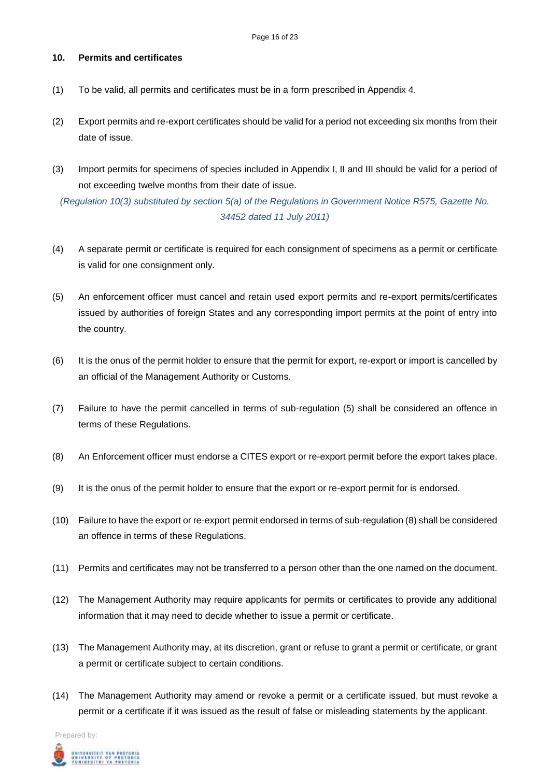## **10. Permits and certificates**

- (1) To be valid, all permits and certificates must be in a form prescribed in Appendix 4.
- (2) Export permits and re-export certificates should be valid for a period not exceeding six months from their date of issue.
- (3) Import permits for specimens of species included in Appendix I, II and III should be valid for a period of not exceeding twelve months from their date of issue.

*(Regulation 10(3) substituted by section 5(a) of the Regulations in Government Notice R575, Gazette No. 34452 dated 11 July 2011)*

- (4) A separate permit or certificate is required for each consignment of specimens as a permit or certificate is valid for one consignment only.
- (5) An enforcement officer must cancel and retain used export permits and re-export permits/certificates issued by authorities of foreign States and any corresponding import permits at the point of entry into the country.
- (6) It is the onus of the permit holder to ensure that the permit for export, re-export or import is cancelled by an official of the Management Authority or Customs.
- (7) Failure to have the permit cancelled in terms of sub-regulation (5) shall be considered an offence in terms of these Regulations.
- (8) An Enforcement officer must endorse a CITES export or re-export permit before the export takes place.
- (9) It is the onus of the permit holder to ensure that the export or re-export permit for is endorsed.
- (10) Failure to have the export or re-export permit endorsed in terms of sub-regulation (8) shall be considered an offence in terms of these Regulations.
- (11) Permits and certificates may not be transferred to a person other than the one named on the document.
- (12) The Management Authority may require applicants for permits or certificates to provide any additional information that it may need to decide whether to issue a permit or certificate.
- (13) The Management Authority may, at its discretion, grant or refuse to grant a permit or certificate, or grant a permit or certificate subject to certain conditions.
- (14) The Management Authority may amend or revoke a permit or a certificate issued, but must revoke a permit or a certificate if it was issued as the result of false or misleading statements by the applicant.

Prepared by: .<br>Iniversity of Pretoria<br>Funibesithi ya Pretoria<br>Funibesithi ya Pretoria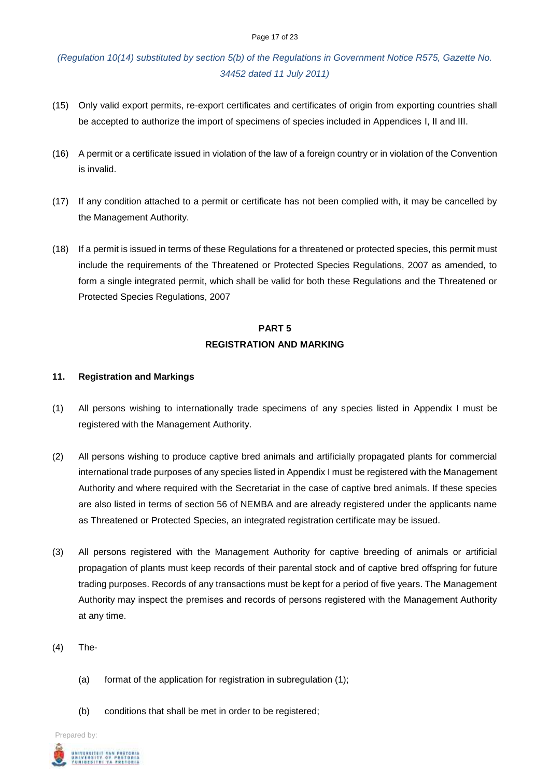#### Page 17 of 23

*(Regulation 10(14) substituted by section 5(b) of the Regulations in Government Notice R575, Gazette No. 34452 dated 11 July 2011)*

- (15) Only valid export permits, re-export certificates and certificates of origin from exporting countries shall be accepted to authorize the import of specimens of species included in Appendices I, II and III.
- (16) A permit or a certificate issued in violation of the law of a foreign country or in violation of the Convention is invalid.
- (17) If any condition attached to a permit or certificate has not been complied with, it may be cancelled by the Management Authority.
- (18) If a permit is issued in terms of these Regulations for a threatened or protected species, this permit must include the requirements of the Threatened or Protected Species Regulations, 2007 as amended, to form a single integrated permit, which shall be valid for both these Regulations and the Threatened or Protected Species Regulations, 2007

# **PART 5 REGISTRATION AND MARKING**

### **11. Registration and Markings**

- (1) All persons wishing to internationally trade specimens of any species listed in Appendix I must be registered with the Management Authority.
- (2) All persons wishing to produce captive bred animals and artificially propagated plants for commercial international trade purposes of any species listed in Appendix I must be registered with the Management Authority and where required with the Secretariat in the case of captive bred animals. If these species are also listed in terms of section 56 of NEMBA and are already registered under the applicants name as Threatened or Protected Species, an integrated registration certificate may be issued.
- (3) All persons registered with the Management Authority for captive breeding of animals or artificial propagation of plants must keep records of their parental stock and of captive bred offspring for future trading purposes. Records of any transactions must be kept for a period of five years. The Management Authority may inspect the premises and records of persons registered with the Management Authority at any time.
- (4) The-
	- (a) format of the application for registration in subregulation (1);
	- (b) conditions that shall be met in order to be registered;

Prepared by: .<br>University of Pretoria<br>Funibesith ta Pretoria<br>Funibesith ta Pretoria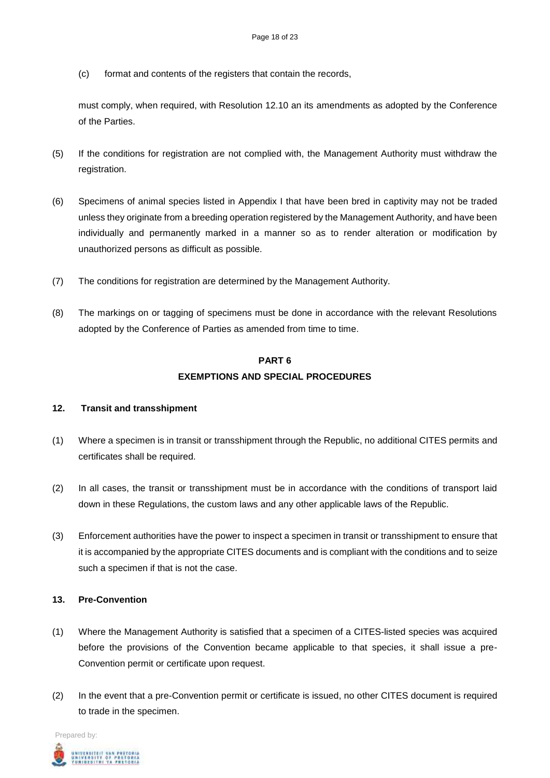(c) format and contents of the registers that contain the records,

must comply, when required, with Resolution 12.10 an its amendments as adopted by the Conference of the Parties.

- (5) If the conditions for registration are not complied with, the Management Authority must withdraw the registration.
- (6) Specimens of animal species listed in Appendix I that have been bred in captivity may not be traded unless they originate from a breeding operation registered by the Management Authority, and have been individually and permanently marked in a manner so as to render alteration or modification by unauthorized persons as difficult as possible.
- (7) The conditions for registration are determined by the Management Authority.
- (8) The markings on or tagging of specimens must be done in accordance with the relevant Resolutions adopted by the Conference of Parties as amended from time to time.

# **PART 6 EXEMPTIONS AND SPECIAL PROCEDURES**

### **12. Transit and transshipment**

- (1) Where a specimen is in transit or transshipment through the Republic, no additional CITES permits and certificates shall be required.
- (2) In all cases, the transit or transshipment must be in accordance with the conditions of transport laid down in these Regulations, the custom laws and any other applicable laws of the Republic.
- (3) Enforcement authorities have the power to inspect a specimen in transit or transshipment to ensure that it is accompanied by the appropriate CITES documents and is compliant with the conditions and to seize such a specimen if that is not the case.

### **13. Pre-Convention**

- (1) Where the Management Authority is satisfied that a specimen of a CITES-listed species was acquired before the provisions of the Convention became applicable to that species, it shall issue a pre-Convention permit or certificate upon request.
- (2) In the event that a pre-Convention permit or certificate is issued, no other CITES document is required to trade in the specimen.

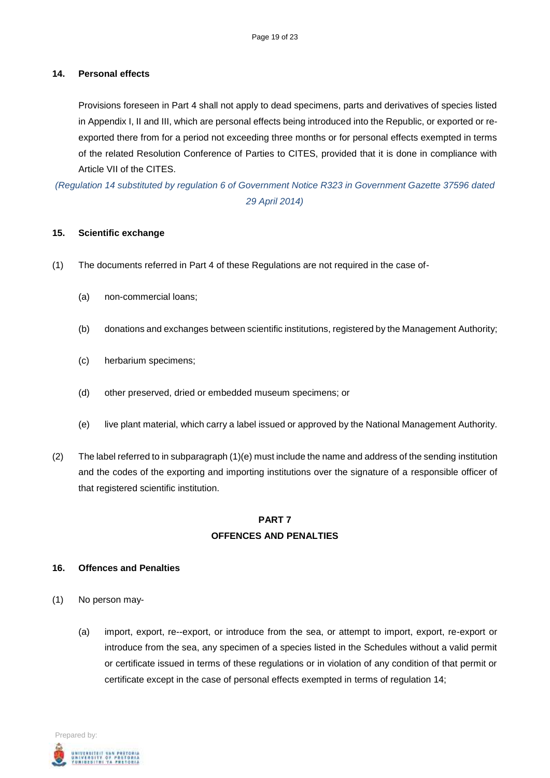### **14. Personal effects**

Provisions foreseen in Part 4 shall not apply to dead specimens, parts and derivatives of species listed in Appendix I, II and III, which are personal effects being introduced into the Republic, or exported or reexported there from for a period not exceeding three months or for personal effects exempted in terms of the related Resolution Conference of Parties to CITES, provided that it is done in compliance with Article VII of the CITES.

*(Regulation 14 substituted by regulation 6 of Government Notice R323 in Government Gazette 37596 dated 29 April 2014)*

### **15. Scientific exchange**

- (1) The documents referred in Part 4 of these Regulations are not required in the case of-
	- (a) non-commercial loans;
	- (b) donations and exchanges between scientific institutions, registered by the Management Authority;
	- (c) herbarium specimens;
	- (d) other preserved, dried or embedded museum specimens; or
	- (e) live plant material, which carry a label issued or approved by the National Management Authority.
- (2) The label referred to in subparagraph (1)(e) must include the name and address of the sending institution and the codes of the exporting and importing institutions over the signature of a responsible officer of that registered scientific institution.

# **PART 7 OFFENCES AND PENALTIES**

#### **16. Offences and Penalties**

- (1) No person may-
	- (a) import, export, re--export, or introduce from the sea, or attempt to import, export, re-export or introduce from the sea, any specimen of a species listed in the Schedules without a valid permit or certificate issued in terms of these regulations or in violation of any condition of that permit or certificate except in the case of personal effects exempted in terms of regulation 14;

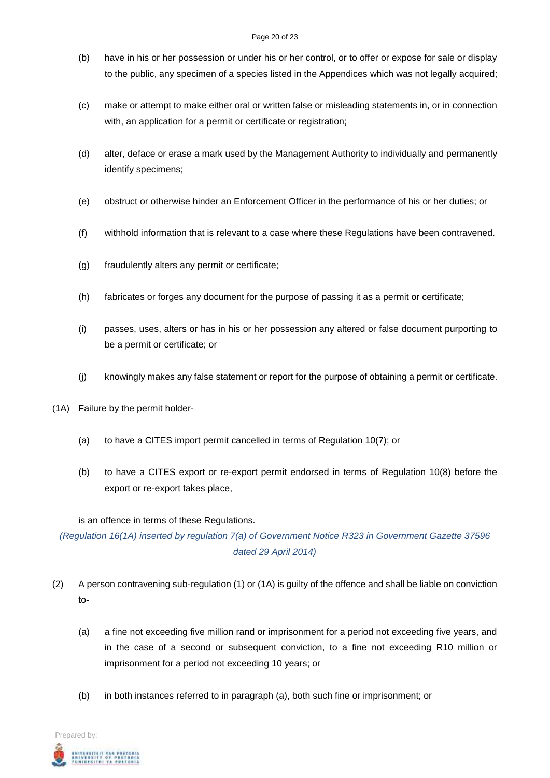#### Page 20 of 23

- (b) have in his or her possession or under his or her control, or to offer or expose for sale or display to the public, any specimen of a species listed in the Appendices which was not legally acquired;
- (c) make or attempt to make either oral or written false or misleading statements in, or in connection with, an application for a permit or certificate or registration;
- (d) alter, deface or erase a mark used by the Management Authority to individually and permanently identify specimens;
- (e) obstruct or otherwise hinder an Enforcement Officer in the performance of his or her duties; or
- (f) withhold information that is relevant to a case where these Regulations have been contravened.
- (g) fraudulently alters any permit or certificate;
- (h) fabricates or forges any document for the purpose of passing it as a permit or certificate;
- (i) passes, uses, alters or has in his or her possession any altered or false document purporting to be a permit or certificate; or
- (j) knowingly makes any false statement or report for the purpose of obtaining a permit or certificate.
- (1A) Failure by the permit holder-
	- (a) to have a CITES import permit cancelled in terms of Regulation 10(7); or
	- (b) to have a CITES export or re-export permit endorsed in terms of Regulation 10(8) before the export or re-export takes place,

is an offence in terms of these Regulations.

*(Regulation 16(1A) inserted by regulation 7(a) of Government Notice R323 in Government Gazette 37596 dated 29 April 2014)*

- (2) A person contravening sub-regulation (1) or (1A) is guilty of the offence and shall be liable on conviction to-
	- (a) a fine not exceeding five million rand or imprisonment for a period not exceeding five years, and in the case of a second or subsequent conviction, to a fine not exceeding R10 million or imprisonment for a period not exceeding 10 years; or
	- (b) in both instances referred to in paragraph (a), both such fine or imprisonment; or

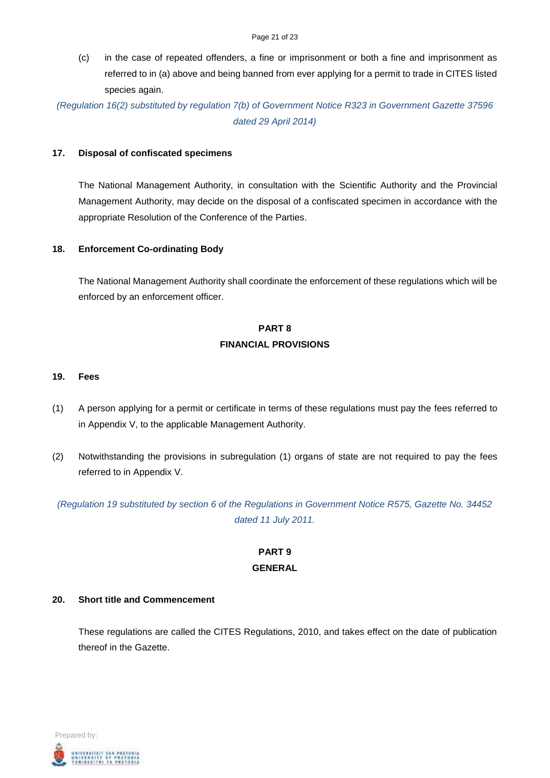(c) in the case of repeated offenders, a fine or imprisonment or both a fine and imprisonment as referred to in (a) above and being banned from ever applying for a permit to trade in CITES listed species again.

*(Regulation 16(2) substituted by regulation 7(b) of Government Notice R323 in Government Gazette 37596 dated 29 April 2014)*

#### **17. Disposal of confiscated specimens**

The National Management Authority, in consultation with the Scientific Authority and the Provincial Management Authority, may decide on the disposal of a confiscated specimen in accordance with the appropriate Resolution of the Conference of the Parties.

### **18. Enforcement Co-ordinating Body**

The National Management Authority shall coordinate the enforcement of these regulations which will be enforced by an enforcement officer.

# **PART 8 FINANCIAL PROVISIONS**

#### **19. Fees**

- (1) A person applying for a permit or certificate in terms of these regulations must pay the fees referred to in Appendix V, to the applicable Management Authority.
- (2) Notwithstanding the provisions in subregulation (1) organs of state are not required to pay the fees referred to in Appendix V.

*(Regulation 19 substituted by section 6 of the Regulations in Government Notice R575, Gazette No. 34452 dated 11 July 2011.*

# **PART 9 GENERAL**

### **20. Short title and Commencement**

These regulations are called the CITES Regulations, 2010, and takes effect on the date of publication thereof in the Gazette.

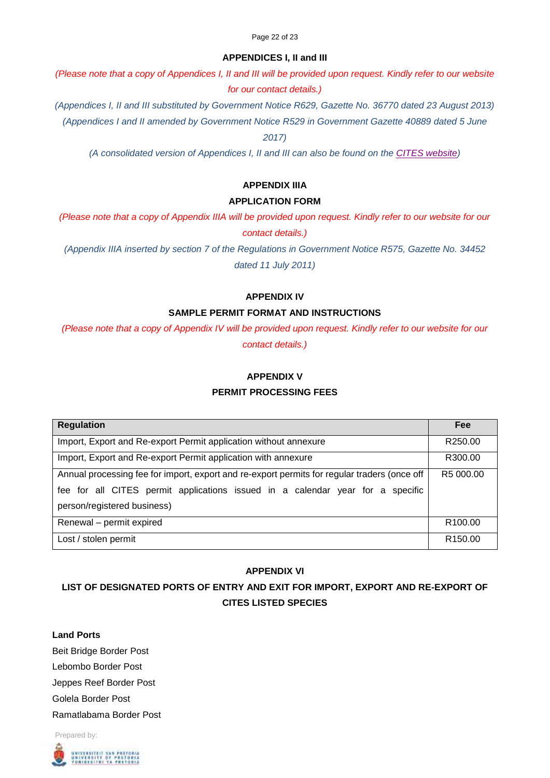### **APPENDICES I, II and III**

*(Please note that a copy of Appendices I, II and III will be provided upon request. Kindly refer to our website for our contact details.)*

*(Appendices I, II and III substituted by Government Notice R629, Gazette No. 36770 dated 23 August 2013)*

*(Appendices I and II amended by Government Notice R529 in Government Gazette 40889 dated 5 June* 

*2017)*

*(A consolidated version of Appendices I, II and III can also be found on the [CITES website\)](https://cites.org/eng/app/appendices.php)*

## **APPENDIX IIIA**

### **APPLICATION FORM**

*(Please note that a copy of Appendix IIIA will be provided upon request. Kindly refer to our website for our contact details.)*

*(Appendix IIIA inserted by section 7 of the Regulations in Government Notice R575, Gazette No. 34452 dated 11 July 2011)*

### **APPENDIX IV**

### **SAMPLE PERMIT FORMAT AND INSTRUCTIONS**

*(Please note that a copy of Appendix IV will be provided upon request. Kindly refer to our website for our contact details.)*

### **APPENDIX V**

### **PERMIT PROCESSING FEES**

| <b>Regulation</b>                                                                            | <b>Fee</b>          |
|----------------------------------------------------------------------------------------------|---------------------|
| Import, Export and Re-export Permit application without annexure                             | R250.00             |
| Import, Export and Re-export Permit application with annexure                                | R300.00             |
| Annual processing fee for import, export and re-export permits for regular traders (once off | R5 000.00           |
| fee for all CITES permit applications issued in a calendar year for a specific               |                     |
| person/registered business)                                                                  |                     |
| Renewal - permit expired                                                                     | R <sub>100.00</sub> |
| Lost / stolen permit                                                                         | R <sub>150.00</sub> |

### **APPENDIX VI**

# **LIST OF DESIGNATED PORTS OF ENTRY AND EXIT FOR IMPORT, EXPORT AND RE-EXPORT OF CITES LISTED SPECIES**

**Land Ports** Beit Bridge Border Post Lebombo Border Post Jeppes Reef Border Post Golela Border Post Ramatlabama Border Post

Prepared by: